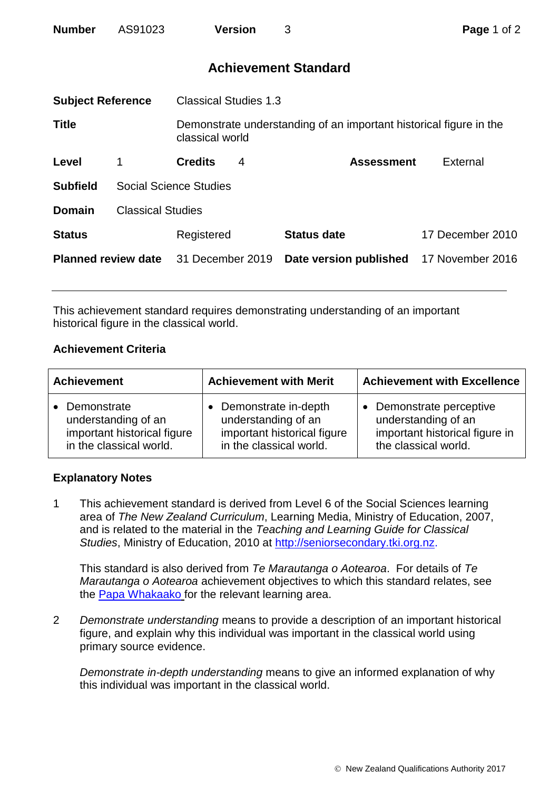| <b>Number</b> | AS91023 | <b>Version</b> |  |
|---------------|---------|----------------|--|
|---------------|---------|----------------|--|

# **Achievement Standard**

| <b>Subject Reference</b>   |                               | <b>Classical Studies 1.3</b>                                                          |   |                        |                  |  |
|----------------------------|-------------------------------|---------------------------------------------------------------------------------------|---|------------------------|------------------|--|
| <b>Title</b>               |                               | Demonstrate understanding of an important historical figure in the<br>classical world |   |                        |                  |  |
| Level                      |                               | <b>Credits</b>                                                                        | 4 | <b>Assessment</b>      | External         |  |
| <b>Subfield</b>            | <b>Social Science Studies</b> |                                                                                       |   |                        |                  |  |
| <b>Domain</b>              | <b>Classical Studies</b>      |                                                                                       |   |                        |                  |  |
| <b>Status</b>              |                               | Registered                                                                            |   | <b>Status date</b>     | 17 December 2010 |  |
| <b>Planned review date</b> |                               | 31 December 2019                                                                      |   | Date version published | 17 November 2016 |  |
|                            |                               |                                                                                       |   |                        |                  |  |

This achievement standard requires demonstrating understanding of an important historical figure in the classical world.

### **Achievement Criteria**

| <b>Achievement</b>                                                                                        | <b>Achievement with Merit</b>                                                                         | <b>Achievement with Excellence</b>                                                                      |  |
|-----------------------------------------------------------------------------------------------------------|-------------------------------------------------------------------------------------------------------|---------------------------------------------------------------------------------------------------------|--|
| Demonstrate<br>$\bullet$<br>understanding of an<br>important historical figure<br>in the classical world. | Demonstrate in-depth<br>understanding of an<br>important historical figure<br>in the classical world. | Demonstrate perceptive<br>understanding of an<br>important historical figure in<br>the classical world. |  |

## **Explanatory Notes**

1 This achievement standard is derived from Level 6 of the Social Sciences learning area of *The New Zealand Curriculum*, Learning Media, Ministry of Education, 2007, and is related to the material in the *Teaching and Learning Guide for Classical Studies*, Ministry of Education, 2010 at [http://seniorsecondary.tki.org.nz.](http://seniorsecondary.tki.org.nz/)

This standard is also derived from *Te Marautanga o Aotearoa*. For details of *Te Marautanga o Aotearoa* achievement objectives to which this standard relates, see the [Papa Whakaako](http://tmoa.tki.org.nz/Te-Marautanga-o-Aotearoa/Taumata-Matauranga-a-Motu-Ka-Taea) for the relevant learning area.

2 *Demonstrate understanding* means to provide a description of an important historical figure, and explain why this individual was important in the classical world using primary source evidence.

*Demonstrate in-depth understanding* means to give an informed explanation of why this individual was important in the classical world.